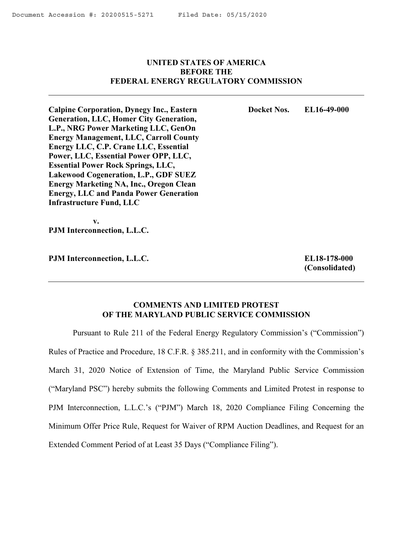# <span id="page-0-0"></span>**UNITED STATES OF AMERICA BEFORE THE FEDERAL ENERGY REGULATORY COMMISSION**

**Docket Nos. EL16-49-000**

**Calpine Corporation, Dynegy Inc., Eastern Generation, LLC, Homer City Generation, L.P., NRG Power Marketing LLC, GenOn Energy Management, LLC, Carroll County Energy LLC, C.P. Crane LLC, Essential Power, LLC, Essential Power OPP, LLC, Essential Power Rock Springs, LLC, Lakewood Cogeneration, L.P., GDF SUEZ Energy Marketing NA, Inc., Oregon Clean Energy, LLC and Panda Power Generation Infrastructure Fund, LLC** 

 **v. PJM Interconnection, L.L.C.**

**PJM Interconnection, L.L.C.**

**EL18-178-000 (Consolidated)**

# **COMMENTS AND LIMITED PROTEST OF THE MARYLAND PUBLIC SERVICE COMMISSION**

Pursuant to Rule 211 of the Federal Energy Regulatory Commission's ("Commission") Rules of Practice and Procedure, 18 C.F.R. § 385.211, and in conformity with the Commission's March 31, 2020 Notice of Extension of Time, the Maryland Public Service Commission ("Maryland PSC") hereby submits the following Comments and Limited Protest in response to PJM Interconnection, L.L.C.'s ("PJM") March 18, 2020 Compliance Filing Concerning the Minimum Offer Price Rule, Request for Waiver of RPM Auction Deadlines, and Request for an Extended Comment Period of at Least 35 Days ("Compliance Filing").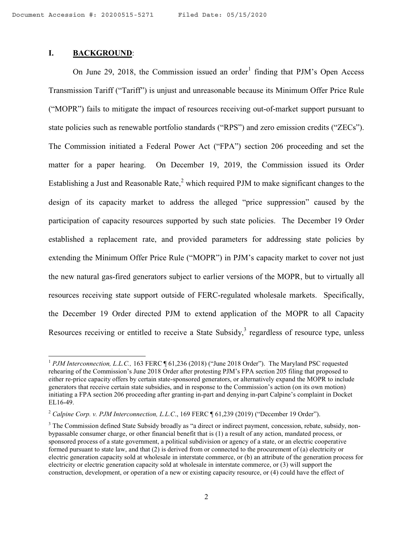# **I. BACKGROUND**:

l

On June 29, 2018, the Commission issued an order<sup>1</sup> finding that PJM's Open Access Transmission Tariff ("Tariff") is unjust and unreasonable because its Minimum Offer Price Rule ("MOPR") fails to mitigate the impact of resources receiving out-of-market support pursuant to state policies such as renewable portfolio standards ("RPS") and zero emission credits ("ZECs"). The Commission initiated a Federal Power Act ("FPA") section 206 proceeding and set the matter for a paper hearing. On December 19, 2019, the Commission issued its Order Establishing a Just and Reasonable Rate, $^2$  which required PJM to make significant changes to the design of its capacity market to address the alleged "price suppression" caused by the participation of capacity resources supported by such state policies. The December 19 Order established a replacement rate, and provided parameters for addressing state policies by extending the Minimum Offer Price Rule ("MOPR") in PJM's capacity market to cover not just the new natural gas-fired generators subject to earlier versions of the MOPR, but to virtually all resources receiving state support outside of FERC-regulated wholesale markets. Specifically, the December 19 Order directed PJM to extend application of the MOPR to all Capacity Resources receiving or entitled to receive a State Subsidy, $3$  regardless of resource type, unless

<sup>&</sup>lt;sup>1</sup> *PJM Interconnection, L.L.C.,* 163 FERC ¶ 61,236 (2018) ("June 2018 Order"). The Maryland PSC requested rehearing of the Commission's June 2018 Order after protesting PJM's FPA section 205 filing that proposed to either re-price capacity offers by certain state-sponsored generators, or alternatively expand the MOPR to include generators that receive certain state subsidies, and in response to the Commission's action (on its own motion) initiating a FPA section 206 proceeding after granting in-part and denying in-part Calpine's complaint in Docket EL16-49.

<sup>&</sup>lt;sup>2</sup> Calpine Corp. v. PJM Interconnection, L.L.C., 169 FERC ¶ 61,239 (2019) ("December 19 Order").

<sup>&</sup>lt;sup>3</sup> The Commission defined State Subsidy broadly as "a direct or indirect payment, concession, rebate, subsidy, nonbypassable consumer charge, or other financial benefit that is (1) a result of any action, mandated process, or sponsored process of a state government, a political subdivision or agency of a state, or an electric cooperative formed pursuant to state law, and that (2) is derived from or connected to the procurement of (a) electricity or electric generation capacity sold at wholesale in interstate commerce, or (b) an attribute of the generation process for electricity or electric generation capacity sold at wholesale in interstate commerce, or (3) will support the construction, development, or operation of a new or existing capacity resource, or (4) could have the effect of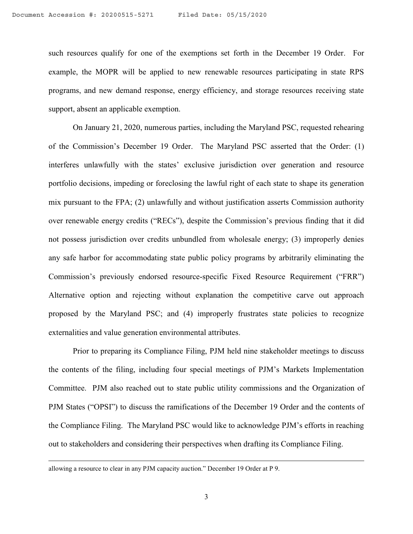such resources qualify for one of the exemptions set forth in the December 19 Order. For example, the MOPR will be applied to new renewable resources participating in state RPS programs, and new demand response, energy efficiency, and storage resources receiving state support, absent an applicable exemption.

On January 21, 2020, numerous parties, including the Maryland PSC, requested rehearing of the Commission's December 19 Order. The Maryland PSC asserted that the Order: (1) interferes unlawfully with the states' exclusive jurisdiction over generation and resource portfolio decisions, impeding or foreclosing the lawful right of each state to shape its generation mix pursuant to the FPA; (2) unlawfully and without justification asserts Commission authority over renewable energy credits ("RECs"), despite the Commission's previous finding that it did not possess jurisdiction over credits unbundled from wholesale energy; (3) improperly denies any safe harbor for accommodating state public policy programs by arbitrarily eliminating the Commission's previously endorsed resource-specific Fixed Resource Requirement ("FRR") Alternative option and rejecting without explanation the competitive carve out approach proposed by the Maryland PSC; and (4) improperly frustrates state policies to recognize externalities and value generation environmental attributes.

Prior to preparing its Compliance Filing, PJM held nine stakeholder meetings to discuss the contents of the filing, including four special meetings of PJM's Markets Implementation Committee. PJM also reached out to state public utility commissions and the Organization of PJM States ("OPSI") to discuss the ramifications of the December 19 Order and the contents of the Compliance Filing. The Maryland PSC would like to acknowledge PJM's efforts in reaching out to stakeholders and considering their perspectives when drafting its Compliance Filing.

allowing a resource to clear in any PJM capacity auction." December 19 Order at P 9.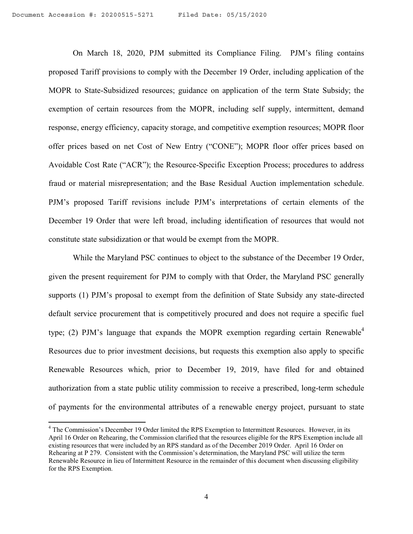On March 18, 2020, PJM submitted its Compliance Filing. PJM's filing contains proposed Tariff provisions to comply with the December 19 Order, including application of the MOPR to State-Subsidized resources; guidance on application of the term State Subsidy; the exemption of certain resources from the MOPR, including self supply, intermittent, demand response, energy efficiency, capacity storage, and competitive exemption resources; MOPR floor offer prices based on net Cost of New Entry ("CONE"); MOPR floor offer prices based on Avoidable Cost Rate ("ACR"); the Resource-Specific Exception Process; procedures to address fraud or material misrepresentation; and the Base Residual Auction implementation schedule. PJM's proposed Tariff revisions include PJM's interpretations of certain elements of the December 19 Order that were left broad, including identification of resources that would not constitute state subsidization or that would be exempt from the MOPR.

While the Maryland PSC continues to object to the substance of the December 19 Order, given the present requirement for PJM to comply with that Order, the Maryland PSC generally supports (1) PJM's proposal to exempt from the definition of State Subsidy any state-directed default service procurement that is competitively procured and does not require a specific fuel type; (2) PJM's language that expands the MOPR exemption regarding certain Renewable<sup>4</sup> Resources due to prior investment decisions, but requests this exemption also apply to specific Renewable Resources which, prior to December 19, 2019, have filed for and obtained authorization from a state public utility commission to receive a prescribed, long-term schedule of payments for the environmental attributes of a renewable energy project, pursuant to state

<sup>&</sup>lt;sup>4</sup> The Commission's December 19 Order limited the RPS Exemption to Intermittent Resources. However, in its April 16 Order on Rehearing, the Commission clarified that the resources eligible for the RPS Exemption include all existing resources that were included by an RPS standard as of the December 2019 Order. April 16 Order on Rehearing at P 279. Consistent with the Commission's determination, the Maryland PSC will utilize the term Renewable Resource in lieu of Intermittent Resource in the remainder of this document when discussing eligibility for the RPS Exemption.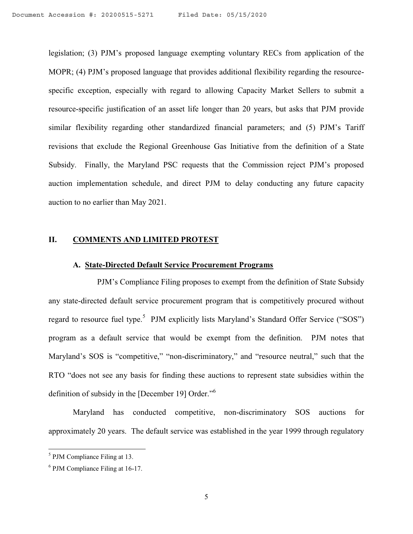legislation; (3) PJM's proposed language exempting voluntary RECs from application of the MOPR; (4) PJM's proposed language that provides additional flexibility regarding the resourcespecific exception, especially with regard to allowing Capacity Market Sellers to submit a resource-specific justification of an asset life longer than 20 years, but asks that PJM provide similar flexibility regarding other standardized financial parameters; and (5) PJM's Tariff revisions that exclude the Regional Greenhouse Gas Initiative from the definition of a State Subsidy. Finally, the Maryland PSC requests that the Commission reject PJM's proposed auction implementation schedule, and direct PJM to delay conducting any future capacity auction to no earlier than May 2021.

#### **II. COMMENTS AND LIMITED PROTEST**

## **A. State-Directed Default Service Procurement Programs**

PJM's Compliance Filing proposes to exempt from the definition of State Subsidy any state-directed default service procurement program that is competitively procured without regard to resource fuel type.<sup>5</sup> PJM explicitly lists Maryland's Standard Offer Service ("SOS") program as a default service that would be exempt from the definition. PJM notes that Maryland's SOS is "competitive," "non-discriminatory," and "resource neutral," such that the RTO "does not see any basis for finding these auctions to represent state subsidies within the definition of subsidy in the [December 19] Order."<sup>6</sup>

Maryland has conducted competitive, non-discriminatory SOS auctions for approximately 20 years. The default service was established in the year 1999 through regulatory

<sup>&</sup>lt;sup>5</sup> PJM Compliance Filing at 13.

<sup>6</sup> PJM Compliance Filing at 16-17.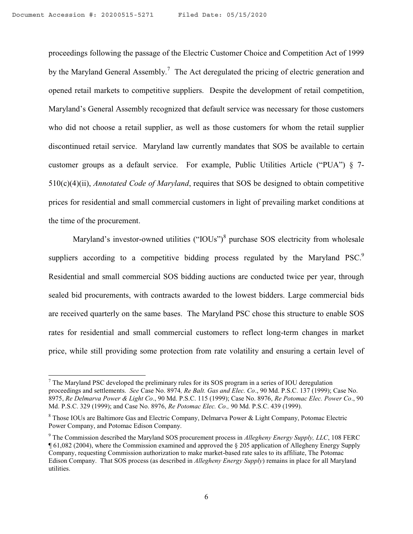proceedings following the passage of the Electric Customer Choice and Competition Act of 1999 by the Maryland General Assembly.<sup>7</sup> The Act deregulated the pricing of electric generation and opened retail markets to competitive suppliers. Despite the development of retail competition, Maryland's General Assembly recognized that default service was necessary for those customers who did not choose a retail supplier, as well as those customers for whom the retail supplier discontinued retail service. Maryland law currently mandates that SOS be available to certain customer groups as a default service. For example, Public Utilities Article ("PUA") § 7- 510(c)(4)(ii), *Annotated Code of Maryland*, requires that SOS be designed to obtain competitive prices for residential and small commercial customers in light of prevailing market conditions at the time of the procurement.

Maryland's investor-owned utilities ("IOUs")<sup>8</sup> purchase SOS electricity from wholesale suppliers according to a competitive bidding process regulated by the Maryland PSC. Residential and small commercial SOS bidding auctions are conducted twice per year, through sealed bid procurements, with contracts awarded to the lowest bidders. Large commercial bids are received quarterly on the same bases. The Maryland PSC chose this structure to enable SOS rates for residential and small commercial customers to reflect long-term changes in market price, while still providing some protection from rate volatility and ensuring a certain level of

 $\overline{a}$ 

 $7$  The Maryland PSC developed the preliminary rules for its SOS program in a series of IOU deregulation proceedings and settlements. *See* Case No. 8974*, Re Balt. Gas and Elec. Co*., 90 Md. P.S.C. 137 (1999); Case No. 8975, *Re Delmarva Power & Light Co*., 90 Md. P.S.C. 115 (1999); Case No. 8976, *Re Potomac Elec. Power Co*., 90 Md. P.S.C. 329 (1999); and Case No. 8976, *Re Potomac Elec. Co.,* 90 Md. P.S.C. 439 (1999).

<sup>&</sup>lt;sup>8</sup> Those IOUs are Baltimore Gas and Electric Company, Delmarva Power & Light Company, Potomac Electric Power Company, and Potomac Edison Company.

<sup>9</sup> The Commission described the Maryland SOS procurement process in *Allegheny Energy Supply, LLC*, 108 FERC ¶ 61,082 (2004), where the Commission examined and approved the § 205 application of Allegheny Energy Supply Company, requesting Commission authorization to make market-based rate sales to its affiliate, The Potomac Edison Company. That SOS process (as described in *Allegheny Energy Supply*) remains in place for all Maryland utilities.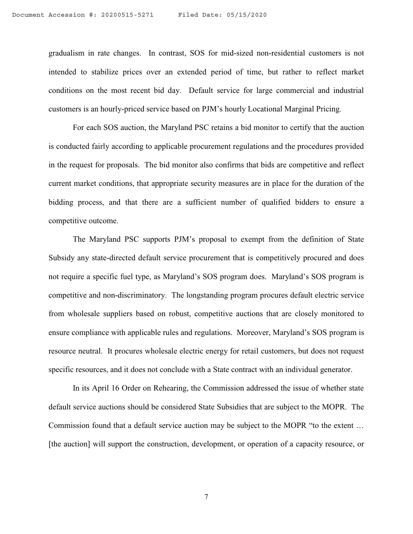gradualism in rate changes. In contrast, SOS for mid-sized non-residential customers is not intended to stabilize prices over an extended period of time, but rather to reflect market conditions on the most recent bid day. Default service for large commercial and industrial customers is an hourly-priced service based on PJM's hourly Locational Marginal Pricing.

For each SOS auction, the Maryland PSC retains a bid monitor to certify that the auction is conducted fairly according to applicable procurement regulations and the procedures provided in the request for proposals. The bid monitor also confirms that bids are competitive and reflect current market conditions, that appropriate security measures are in place for the duration of the bidding process, and that there are a sufficient number of qualified bidders to ensure a competitive outcome.

The Maryland PSC supports PJM's proposal to exempt from the definition of State Subsidy any state-directed default service procurement that is competitively procured and does not require a specific fuel type, as Maryland's SOS program does. Maryland's SOS program is competitive and non-discriminatory. The longstanding program procures default electric service from wholesale suppliers based on robust, competitive auctions that are closely monitored to ensure compliance with applicable rules and regulations. Moreover, Maryland's SOS program is resource neutral. It procures wholesale electric energy for retail customers, but does not request specific resources, and it does not conclude with a State contract with an individual generator.

In its April 16 Order on Rehearing, the Commission addressed the issue of whether state default service auctions should be considered State Subsidies that are subject to the MOPR. The Commission found that a default service auction may be subject to the MOPR "to the extent … [the auction] will support the construction, development, or operation of a capacity resource, or

7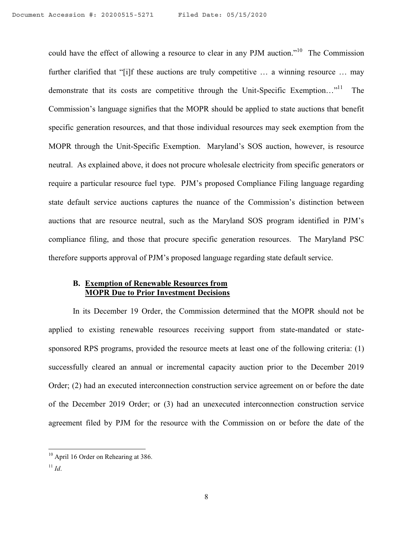could have the effect of allowing a resource to clear in any PJM auction."<sup>10</sup> The Commission further clarified that "[i]f these auctions are truly competitive ... a winning resource ... may demonstrate that its costs are competitive through the Unit-Specific Exemption..."<sup>11</sup> The Commission's language signifies that the MOPR should be applied to state auctions that benefit specific generation resources, and that those individual resources may seek exemption from the MOPR through the Unit-Specific Exemption. Maryland's SOS auction, however, is resource neutral. As explained above, it does not procure wholesale electricity from specific generators or require a particular resource fuel type. PJM's proposed Compliance Filing language regarding state default service auctions captures the nuance of the Commission's distinction between auctions that are resource neutral, such as the Maryland SOS program identified in PJM's compliance filing, and those that procure specific generation resources. The Maryland PSC therefore supports approval of PJM's proposed language regarding state default service.

# **B. Exemption of Renewable Resources from MOPR Due to Prior Investment Decisions**

In its December 19 Order, the Commission determined that the MOPR should not be applied to existing renewable resources receiving support from state-mandated or statesponsored RPS programs, provided the resource meets at least one of the following criteria: (1) successfully cleared an annual or incremental capacity auction prior to the December 2019 Order; (2) had an executed interconnection construction service agreement on or before the date of the December 2019 Order; or (3) had an unexecuted interconnection construction service agreement filed by PJM for the resource with the Commission on or before the date of the

 $11$  *Id.* 

l <sup>10</sup> April 16 Order on Rehearing at 386.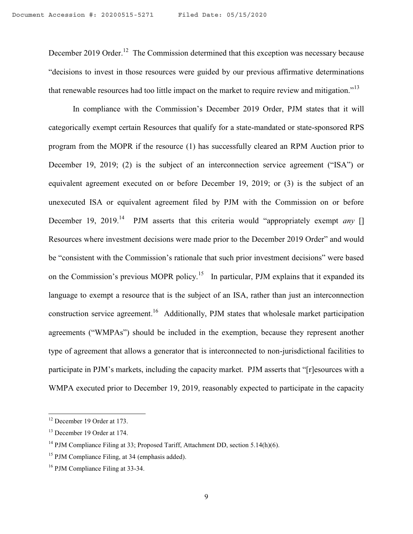December 2019 Order.<sup>12</sup> The Commission determined that this exception was necessary because "decisions to invest in those resources were guided by our previous affirmative determinations that renewable resources had too little impact on the market to require review and mitigation."<sup>13</sup>

In compliance with the Commission's December 2019 Order, PJM states that it will categorically exempt certain Resources that qualify for a state-mandated or state-sponsored RPS program from the MOPR if the resource (1) has successfully cleared an RPM Auction prior to December 19, 2019; (2) is the subject of an interconnection service agreement ("ISA") or equivalent agreement executed on or before December 19, 2019; or (3) is the subject of an unexecuted ISA or equivalent agreement filed by PJM with the Commission on or before December 19, 2019.<sup>14</sup> PJM asserts that this criteria would "appropriately exempt *any* [] Resources where investment decisions were made prior to the December 2019 Order" and would be "consistent with the Commission's rationale that such prior investment decisions" were based on the Commission's previous MOPR policy.<sup>15</sup> In particular, PJM explains that it expanded its language to exempt a resource that is the subject of an ISA, rather than just an interconnection construction service agreement.<sup>16</sup> Additionally, PJM states that wholesale market participation agreements ("WMPAs") should be included in the exemption, because they represent another type of agreement that allows a generator that is interconnected to non-jurisdictional facilities to participate in PJM's markets, including the capacity market. PJM asserts that "[r]esources with a WMPA executed prior to December 19, 2019, reasonably expected to participate in the capacity

 $\overline{a}$ 

<sup>&</sup>lt;sup>12</sup> December 19 Order at 173.

<sup>&</sup>lt;sup>13</sup> December 19 Order at 174.

<sup>&</sup>lt;sup>14</sup> PJM Compliance Filing at 33; Proposed Tariff, Attachment DD, section 5.14(h)(6).

<sup>&</sup>lt;sup>15</sup> PJM Compliance Filing, at 34 (emphasis added).

<sup>&</sup>lt;sup>16</sup> PJM Compliance Filing at 33-34.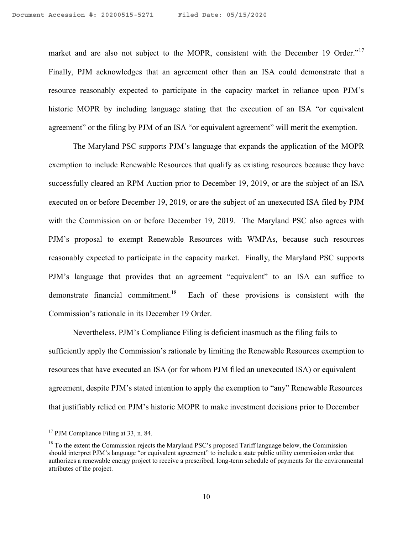market and are also not subject to the MOPR, consistent with the December 19 Order."<sup>17</sup> Finally, PJM acknowledges that an agreement other than an ISA could demonstrate that a resource reasonably expected to participate in the capacity market in reliance upon PJM's historic MOPR by including language stating that the execution of an ISA "or equivalent agreement" or the filing by PJM of an ISA "or equivalent agreement" will merit the exemption.

The Maryland PSC supports PJM's language that expands the application of the MOPR exemption to include Renewable Resources that qualify as existing resources because they have successfully cleared an RPM Auction prior to December 19, 2019, or are the subject of an ISA executed on or before December 19, 2019, or are the subject of an unexecuted ISA filed by PJM with the Commission on or before December 19, 2019. The Maryland PSC also agrees with PJM's proposal to exempt Renewable Resources with WMPAs, because such resources reasonably expected to participate in the capacity market. Finally, the Maryland PSC supports PJM's language that provides that an agreement "equivalent" to an ISA can suffice to demonstrate financial commitment.<sup>18</sup> Each of these provisions is consistent with the Commission's rationale in its December 19 Order.

Nevertheless, PJM's Compliance Filing is deficient inasmuch as the filing fails to sufficiently apply the Commission's rationale by limiting the Renewable Resources exemption to resources that have executed an ISA (or for whom PJM filed an unexecuted ISA) or equivalent agreement, despite PJM's stated intention to apply the exemption to "any" Renewable Resources that justifiably relied on PJM's historic MOPR to make investment decisions prior to December

 $\overline{a}$ 

<sup>&</sup>lt;sup>17</sup> PJM Compliance Filing at 33, n. 84.

<sup>&</sup>lt;sup>18</sup> To the extent the Commission rejects the Maryland PSC's proposed Tariff language below, the Commission should interpret PJM's language "or equivalent agreement" to include a state public utility commission order that authorizes a renewable energy project to receive a prescribed, long-term schedule of payments for the environmental attributes of the project.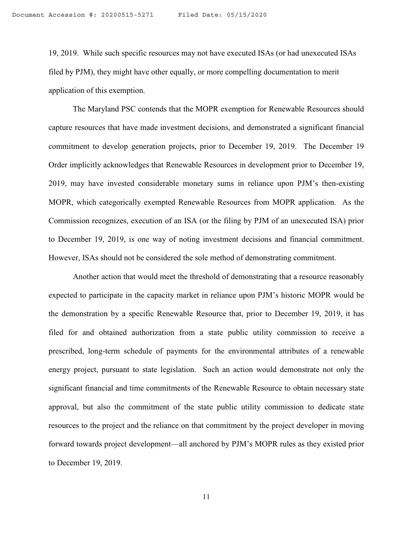19, 2019. While such specific resources may not have executed ISAs (or had unexecuted ISAs filed by PJM), they might have other equally, or more compelling documentation to merit application of this exemption.

The Maryland PSC contends that the MOPR exemption for Renewable Resources should capture resources that have made investment decisions, and demonstrated a significant financial commitment to develop generation projects, prior to December 19, 2019. The December 19 Order implicitly acknowledges that Renewable Resources in development prior to December 19, 2019, may have invested considerable monetary sums in reliance upon PJM's then-existing MOPR, which categorically exempted Renewable Resources from MOPR application. As the Commission recognizes, execution of an ISA (or the filing by PJM of an unexecuted ISA) prior to December 19, 2019, is one way of noting investment decisions and financial commitment. However, ISAs should not be considered the sole method of demonstrating commitment.

Another action that would meet the threshold of demonstrating that a resource reasonably expected to participate in the capacity market in reliance upon PJM's historic MOPR would be the demonstration by a specific Renewable Resource that, prior to December 19, 2019, it has filed for and obtained authorization from a state public utility commission to receive a prescribed, long-term schedule of payments for the environmental attributes of a renewable energy project, pursuant to state legislation. Such an action would demonstrate not only the significant financial and time commitments of the Renewable Resource to obtain necessary state approval, but also the commitment of the state public utility commission to dedicate state resources to the project and the reliance on that commitment by the project developer in moving forward towards project development—all anchored by PJM's MOPR rules as they existed prior to December 19, 2019.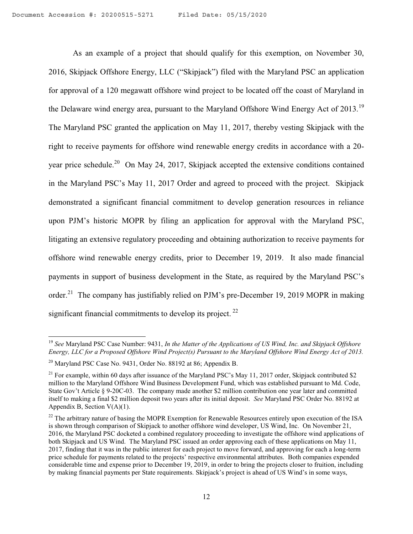As an example of a project that should qualify for this exemption, on November 30, 2016, Skipjack Offshore Energy, LLC ("Skipjack") filed with the Maryland PSC an application for approval of a 120 megawatt offshore wind project to be located off the coast of Maryland in the Delaware wind energy area, pursuant to the Maryland Offshore Wind Energy Act of 2013.<sup>19</sup> The Maryland PSC granted the application on May 11, 2017, thereby vesting Skipjack with the right to receive payments for offshore wind renewable energy credits in accordance with a 20 year price schedule.<sup>20</sup> On May 24, 2017, Skipjack accepted the extensive conditions contained in the Maryland PSC's May 11, 2017 Order and agreed to proceed with the project. Skipjack demonstrated a significant financial commitment to develop generation resources in reliance upon PJM's historic MOPR by filing an application for approval with the Maryland PSC, litigating an extensive regulatory proceeding and obtaining authorization to receive payments for offshore wind renewable energy credits, prior to December 19, 2019. It also made financial payments in support of business development in the State, as required by the Maryland PSC's order.<sup>21</sup> The company has justifiably relied on PJM's pre-December 19, 2019 MOPR in making significant financial commitments to develop its project.<sup>22</sup>

<sup>19</sup> *See* Maryland PSC Case Number: 9431, *In the Matter of the Applications of US Wind, Inc. and Skipjack Offshore Energy, LLC for a Proposed Offshore Wind Project(s) Pursuant to the Maryland Offshore Wind Energy Act of 2013.* 

<sup>&</sup>lt;sup>20</sup> Maryland PSC Case No. 9431, Order No. 88192 at 86; Appendix B.

<sup>&</sup>lt;sup>21</sup> For example, within 60 days after issuance of the Maryland PSC's May 11, 2017 order, Skipjack contributed \$2 million to the Maryland Offshore Wind Business Development Fund, which was established pursuant to Md. Code, State Gov't Article § 9-20C-03. The company made another \$2 million contribution one year later and committed itself to making a final \$2 million deposit two years after its initial deposit. *See* Maryland PSC Order No. 88192 at Appendix B, Section V(A)(1).

<sup>&</sup>lt;sup>22</sup> The arbitrary nature of basing the MOPR Exemption for Renewable Resources entirely upon execution of the ISA is shown through comparison of Skipjack to another offshore wind developer, US Wind, Inc. On November 21, 2016, the Maryland PSC docketed a combined regulatory proceeding to investigate the offshore wind applications of both Skipjack and US Wind. The Maryland PSC issued an order approving each of these applications on May 11, 2017, finding that it was in the public interest for each project to move forward, and approving for each a long-term price schedule for payments related to the projects' respective environmental attributes. Both companies expended considerable time and expense prior to December 19, 2019, in order to bring the projects closer to fruition, including by making financial payments per State requirements. Skipjack's project is ahead of US Wind's in some ways,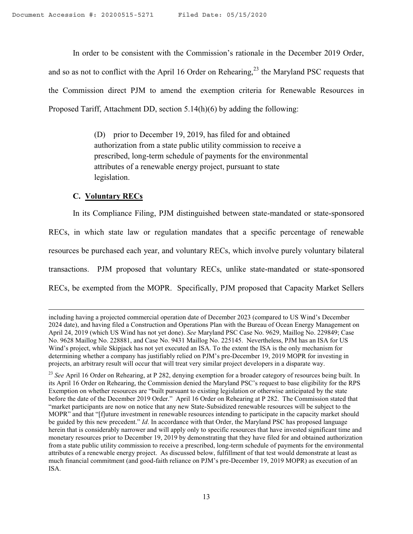In order to be consistent with the Commission's rationale in the December 2019 Order, and so as not to conflict with the April 16 Order on Rehearing,<sup>23</sup> the Maryland PSC requests that the Commission direct PJM to amend the exemption criteria for Renewable Resources in Proposed Tariff, Attachment DD, section 5.14(h)(6) by adding the following:

> (D) prior to December 19, 2019, has filed for and obtained authorization from a state public utility commission to receive a prescribed, long-term schedule of payments for the environmental attributes of a renewable energy project, pursuant to state legislation.

# **C. Voluntary RECs**

l

In its Compliance Filing, PJM distinguished between state-mandated or state-sponsored RECs, in which state law or regulation mandates that a specific percentage of renewable resources be purchased each year, and voluntary RECs, which involve purely voluntary bilateral transactions. PJM proposed that voluntary RECs, unlike state-mandated or state-sponsored RECs, be exempted from the MOPR. Specifically, PJM proposed that Capacity Market Sellers

including having a projected commercial operation date of December 2023 (compared to US Wind's December 2024 date), and having filed a Construction and Operations Plan with the Bureau of Ocean Energy Management on April 24, 2019 (which US Wind has not yet done). *See* Maryland PSC Case No. 9629, Maillog No. 229849; Case No. 9628 Maillog No. 228881, and Case No. 9431 Maillog No. 225145. Nevertheless, PJM has an ISA for US Wind's project, while Skipjack has not yet executed an ISA. To the extent the ISA is the only mechanism for determining whether a company has justifiably relied on PJM's pre-December 19, 2019 MOPR for investing in projects, an arbitrary result will occur that will treat very similar project developers in a disparate way.

<sup>&</sup>lt;sup>23</sup> See April 16 Order on Rehearing, at P 282, denying exemption for a broader category of resources being built. In its April 16 Order on Rehearing, the Commission denied the Maryland PSC's request to base eligibility for the RPS Exemption on whether resources are "built pursuant to existing legislation or otherwise anticipated by the state before the date of the December 2019 Order." April 16 Order on Rehearing at P 282. The Commission stated that "market participants are now on notice that any new State-Subsidized renewable resources will be subject to the MOPR" and that "[f]uture investment in renewable resources intending to participate in the capacity market should be guided by this new precedent." *Id*. In accordance with that Order, the Maryland PSC has proposed language herein that is considerably narrower and will apply only to specific resources that have invested significant time and monetary resources prior to December 19, 2019 by demonstrating that they have filed for and obtained authorization from a state public utility commission to receive a prescribed, long-term schedule of payments for the environmental attributes of a renewable energy project. As discussed below, fulfillment of that test would demonstrate at least as much financial commitment (and good-faith reliance on PJM's pre-December 19, 2019 MOPR) as execution of an ISA.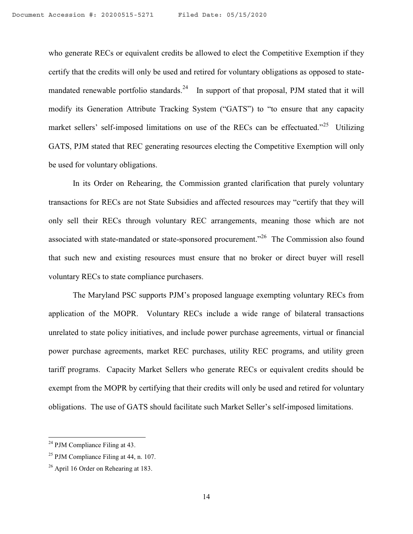who generate RECs or equivalent credits be allowed to elect the Competitive Exemption if they certify that the credits will only be used and retired for voluntary obligations as opposed to statemandated renewable portfolio standards.<sup>24</sup> In support of that proposal, PJM stated that it will modify its Generation Attribute Tracking System ("GATS") to "to ensure that any capacity market sellers' self-imposed limitations on use of the RECs can be effectuated."<sup>25</sup> Utilizing GATS, PJM stated that REC generating resources electing the Competitive Exemption will only be used for voluntary obligations.

In its Order on Rehearing, the Commission granted clarification that purely voluntary transactions for RECs are not State Subsidies and affected resources may "certify that they will only sell their RECs through voluntary REC arrangements, meaning those which are not associated with state-mandated or state-sponsored procurement."<sup>26</sup> The Commission also found that such new and existing resources must ensure that no broker or direct buyer will resell voluntary RECs to state compliance purchasers.

The Maryland PSC supports PJM's proposed language exempting voluntary RECs from application of the MOPR. Voluntary RECs include a wide range of bilateral transactions unrelated to state policy initiatives, and include power purchase agreements, virtual or financial power purchase agreements, market REC purchases, utility REC programs, and utility green tariff programs. Capacity Market Sellers who generate RECs or equivalent credits should be exempt from the MOPR by certifying that their credits will only be used and retired for voluntary obligations. The use of GATS should facilitate such Market Seller's self-imposed limitations.

 $24$  PJM Compliance Filing at 43.

 $25$  PJM Compliance Filing at 44, n. 107.

<sup>26</sup> April 16 Order on Rehearing at 183.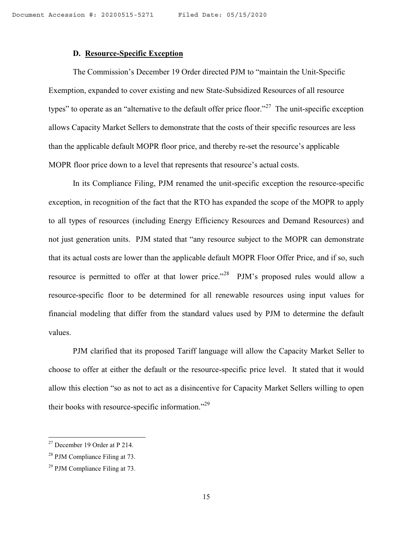## **D. Resource-Specific Exception**

The Commission's December 19 Order directed PJM to "maintain the Unit-Specific Exemption, expanded to cover existing and new State-Subsidized Resources of all resource types" to operate as an "alternative to the default offer price floor."<sup>27</sup> The unit-specific exception allows Capacity Market Sellers to demonstrate that the costs of their specific resources are less than the applicable default MOPR floor price, and thereby re-set the resource's applicable MOPR floor price down to a level that represents that resource's actual costs.

In its Compliance Filing, PJM renamed the unit-specific exception the resource-specific exception, in recognition of the fact that the RTO has expanded the scope of the MOPR to apply to all types of resources (including Energy Efficiency Resources and Demand Resources) and not just generation units. PJM stated that "any resource subject to the MOPR can demonstrate that its actual costs are lower than the applicable default MOPR Floor Offer Price, and if so, such resource is permitted to offer at that lower price.<sup>"28</sup> PJM's proposed rules would allow a resource-specific floor to be determined for all renewable resources using input values for financial modeling that differ from the standard values used by PJM to determine the default values.

PJM clarified that its proposed Tariff language will allow the Capacity Market Seller to choose to offer at either the default or the resource-specific price level. It stated that it would allow this election "so as not to act as a disincentive for Capacity Market Sellers willing to open their books with resource-specific information."<sup>29</sup>

 $27$  December 19 Order at P 214.

<sup>28</sup> PJM Compliance Filing at 73.

 $29$  PJM Compliance Filing at 73.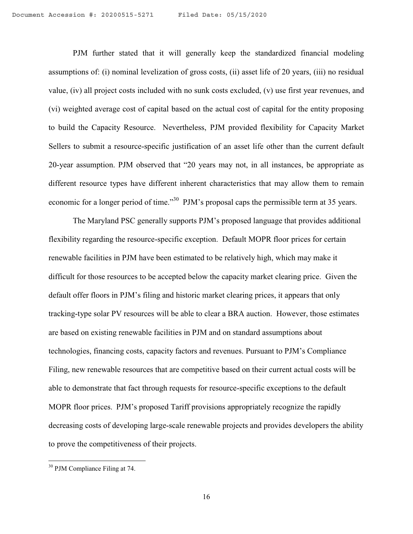PJM further stated that it will generally keep the standardized financial modeling assumptions of: (i) nominal levelization of gross costs, (ii) asset life of 20 years, (iii) no residual value, (iv) all project costs included with no sunk costs excluded, (v) use first year revenues, and (vi) weighted average cost of capital based on the actual cost of capital for the entity proposing to build the Capacity Resource. Nevertheless, PJM provided flexibility for Capacity Market Sellers to submit a resource-specific justification of an asset life other than the current default 20-year assumption. PJM observed that "20 years may not, in all instances, be appropriate as different resource types have different inherent characteristics that may allow them to remain economic for a longer period of time."<sup>30</sup> PJM's proposal caps the permissible term at 35 years.

The Maryland PSC generally supports PJM's proposed language that provides additional flexibility regarding the resource-specific exception. Default MOPR floor prices for certain renewable facilities in PJM have been estimated to be relatively high, which may make it difficult for those resources to be accepted below the capacity market clearing price. Given the default offer floors in PJM's filing and historic market clearing prices, it appears that only tracking-type solar PV resources will be able to clear a BRA auction. However, those estimates are based on existing renewable facilities in PJM and on standard assumptions about technologies, financing costs, capacity factors and revenues. Pursuant to PJM's Compliance Filing, new renewable resources that are competitive based on their current actual costs will be able to demonstrate that fact through requests for resource-specific exceptions to the default MOPR floor prices. PJM's proposed Tariff provisions appropriately recognize the rapidly decreasing costs of developing large-scale renewable projects and provides developers the ability to prove the competitiveness of their projects.

<sup>&</sup>lt;sup>30</sup> PJM Compliance Filing at 74.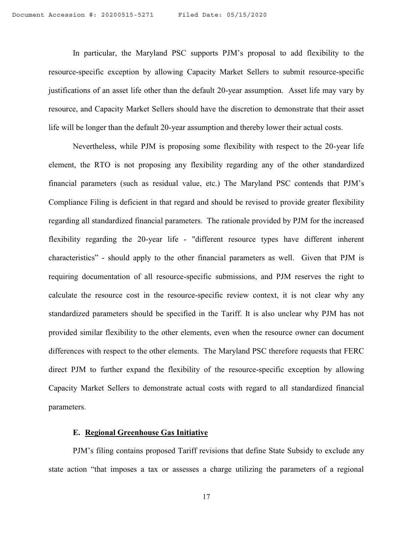In particular, the Maryland PSC supports PJM's proposal to add flexibility to the resource-specific exception by allowing Capacity Market Sellers to submit resource-specific justifications of an asset life other than the default 20-year assumption. Asset life may vary by resource, and Capacity Market Sellers should have the discretion to demonstrate that their asset life will be longer than the default 20-year assumption and thereby lower their actual costs.

Nevertheless, while PJM is proposing some flexibility with respect to the 20-year life element, the RTO is not proposing any flexibility regarding any of the other standardized financial parameters (such as residual value, etc.) The Maryland PSC contends that PJM's Compliance Filing is deficient in that regard and should be revised to provide greater flexibility regarding all standardized financial parameters. The rationale provided by PJM for the increased flexibility regarding the 20-year life - "different resource types have different inherent characteristics" - should apply to the other financial parameters as well. Given that PJM is requiring documentation of all resource-specific submissions, and PJM reserves the right to calculate the resource cost in the resource-specific review context, it is not clear why any standardized parameters should be specified in the Tariff. It is also unclear why PJM has not provided similar flexibility to the other elements, even when the resource owner can document differences with respect to the other elements. The Maryland PSC therefore requests that FERC direct PJM to further expand the flexibility of the resource-specific exception by allowing Capacity Market Sellers to demonstrate actual costs with regard to all standardized financial parameters.

## **E. Regional Greenhouse Gas Initiative**

PJM's filing contains proposed Tariff revisions that define State Subsidy to exclude any state action "that imposes a tax or assesses a charge utilizing the parameters of a regional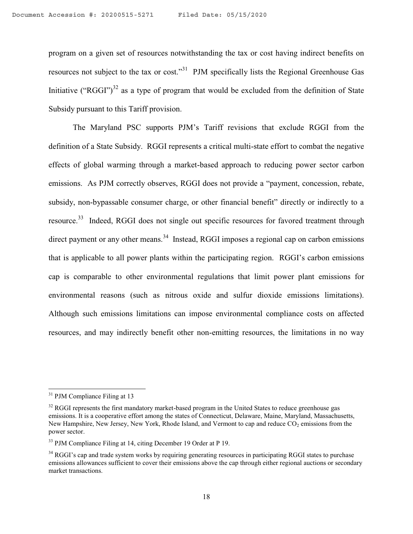program on a given set of resources notwithstanding the tax or cost having indirect benefits on resources not subject to the tax or cost."<sup>31</sup> PJM specifically lists the Regional Greenhouse Gas Initiative ("RGGI")<sup>32</sup> as a type of program that would be excluded from the definition of State Subsidy pursuant to this Tariff provision.

The Maryland PSC supports PJM's Tariff revisions that exclude RGGI from the definition of a State Subsidy. RGGI represents a critical multi-state effort to combat the negative effects of global warming through a market-based approach to reducing power sector carbon emissions. As PJM correctly observes, RGGI does not provide a "payment, concession, rebate, subsidy, non-bypassable consumer charge, or other financial benefit" directly or indirectly to a resource.<sup>33</sup> Indeed, RGGI does not single out specific resources for favored treatment through direct payment or any other means.<sup>34</sup> Instead, RGGI imposes a regional cap on carbon emissions that is applicable to all power plants within the participating region. RGGI's carbon emissions cap is comparable to other environmental regulations that limit power plant emissions for environmental reasons (such as nitrous oxide and sulfur dioxide emissions limitations). Although such emissions limitations can impose environmental compliance costs on affected resources, and may indirectly benefit other non-emitting resources, the limitations in no way

<sup>&</sup>lt;sup>31</sup> PJM Compliance Filing at 13

<sup>&</sup>lt;sup>32</sup> RGGI represents the first mandatory market-based program in the United States to reduce greenhouse gas emissions. It is a cooperative effort among the states of Connecticut, Delaware, Maine, Maryland, Massachusetts, New Hampshire, New Jersey, New York, Rhode Island, and Vermont to cap and reduce CO<sub>2</sub> emissions from the power sector.

<sup>33</sup> PJM Compliance Filing at 14, citing December 19 Order at P 19.

<sup>&</sup>lt;sup>34</sup> RGGI's cap and trade system works by requiring generating resources in participating RGGI states to purchase emissions allowances sufficient to cover their emissions above the cap through either regional auctions or secondary market transactions.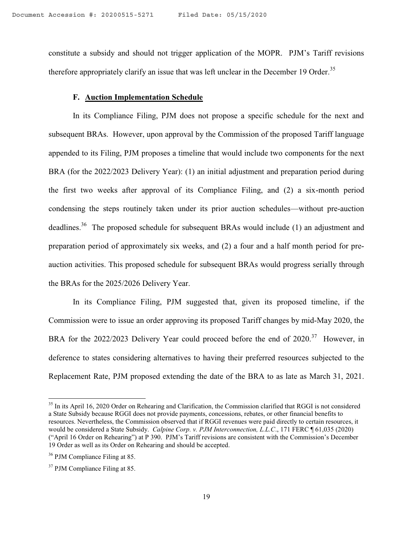constitute a subsidy and should not trigger application of the MOPR. PJM's Tariff revisions therefore appropriately clarify an issue that was left unclear in the December 19 Order.<sup>35</sup>

# **F. Auction Implementation Schedule**

In its Compliance Filing, PJM does not propose a specific schedule for the next and subsequent BRAs. However, upon approval by the Commission of the proposed Tariff language appended to its Filing, PJM proposes a timeline that would include two components for the next BRA (for the 2022/2023 Delivery Year): (1) an initial adjustment and preparation period during the first two weeks after approval of its Compliance Filing, and (2) a six-month period condensing the steps routinely taken under its prior auction schedules—without pre-auction deadlines.<sup>36</sup> The proposed schedule for subsequent BRAs would include (1) an adjustment and preparation period of approximately six weeks, and (2) a four and a half month period for preauction activities. This proposed schedule for subsequent BRAs would progress serially through the BRAs for the 2025/2026 Delivery Year.

In its Compliance Filing, PJM suggested that, given its proposed timeline, if the Commission were to issue an order approving its proposed Tariff changes by mid-May 2020, the BRA for the 2022/2023 Delivery Year could proceed before the end of  $2020$ <sup>37</sup> However, in deference to states considering alternatives to having their preferred resources subjected to the Replacement Rate, PJM proposed extending the date of the BRA to as late as March 31, 2021.

l

<sup>&</sup>lt;sup>35</sup> In its April 16, 2020 Order on Rehearing and Clarification, the Commission clarified that RGGI is not considered a State Subsidy because RGGI does not provide payments, concessions, rebates, or other financial benefits to resources. Nevertheless, the Commission observed that if RGGI revenues were paid directly to certain resources, it would be considered a State Subsidy. *Calpine Corp. v. PJM Interconnection, L.L.C*., 171 FERC ¶ 61,035 (2020) ("April 16 Order on Rehearing") at P 390. PJM's Tariff revisions are consistent with the Commission's December 19 Order as well as its Order on Rehearing and should be accepted.

<sup>36</sup> PJM Compliance Filing at 85.

<sup>&</sup>lt;sup>37</sup> PJM Compliance Filing at 85.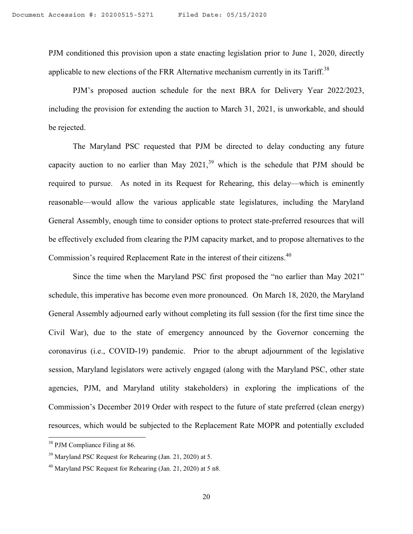PJM conditioned this provision upon a state enacting legislation prior to June 1, 2020, directly applicable to new elections of the FRR Alternative mechanism currently in its  $Tariff.<sup>38</sup>$ 

PJM's proposed auction schedule for the next BRA for Delivery Year 2022/2023, including the provision for extending the auction to March 31, 2021, is unworkable, and should be rejected.

The Maryland PSC requested that PJM be directed to delay conducting any future capacity auction to no earlier than May  $2021$ ,<sup>39</sup> which is the schedule that PJM should be required to pursue. As noted in its Request for Rehearing, this delay—which is eminently reasonable—would allow the various applicable state legislatures, including the Maryland General Assembly, enough time to consider options to protect state-preferred resources that will be effectively excluded from clearing the PJM capacity market, and to propose alternatives to the Commission's required Replacement Rate in the interest of their citizens.<sup>40</sup>

Since the time when the Maryland PSC first proposed the "no earlier than May 2021" schedule, this imperative has become even more pronounced. On March 18, 2020, the Maryland General Assembly adjourned early without completing its full session (for the first time since the Civil War), due to the state of emergency announced by the Governor concerning the coronavirus (i.e., COVID-19) pandemic. Prior to the abrupt adjournment of the legislative session, Maryland legislators were actively engaged (along with the Maryland PSC, other state agencies, PJM, and Maryland utility stakeholders) in exploring the implications of the Commission's December 2019 Order with respect to the future of state preferred (clean energy) resources, which would be subjected to the Replacement Rate MOPR and potentially excluded

<sup>&</sup>lt;sup>38</sup> PJM Compliance Filing at 86.

<sup>39</sup> Maryland PSC Request for Rehearing (Jan. 21, 2020) at 5.

 $40$  Maryland PSC Request for Rehearing (Jan. 21, 2020) at 5 n8.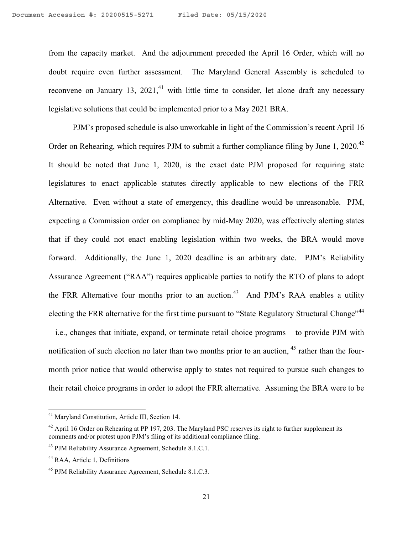from the capacity market. And the adjournment preceded the April 16 Order, which will no doubt require even further assessment. The Maryland General Assembly is scheduled to reconvene on January 13, 2021,<sup>41</sup> with little time to consider, let alone draft any necessary legislative solutions that could be implemented prior to a May 2021 BRA.

PJM's proposed schedule is also unworkable in light of the Commission's recent April 16 Order on Rehearing, which requires PJM to submit a further compliance filing by June 1, 2020.<sup>42</sup> It should be noted that June 1, 2020, is the exact date PJM proposed for requiring state legislatures to enact applicable statutes directly applicable to new elections of the FRR Alternative. Even without a state of emergency, this deadline would be unreasonable. PJM, expecting a Commission order on compliance by mid-May 2020, was effectively alerting states that if they could not enact enabling legislation within two weeks, the BRA would move forward. Additionally, the June 1, 2020 deadline is an arbitrary date. PJM's Reliability Assurance Agreement ("RAA") requires applicable parties to notify the RTO of plans to adopt the FRR Alternative four months prior to an auction.<sup>43</sup> And PJM's RAA enables a utility electing the FRR alternative for the first time pursuant to "State Regulatory Structural Change"<sup>44</sup> – i.e., changes that initiate, expand, or terminate retail choice programs – to provide PJM with notification of such election no later than two months prior to an auction, <sup>45</sup> rather than the fourmonth prior notice that would otherwise apply to states not required to pursue such changes to their retail choice programs in order to adopt the FRR alternative. Assuming the BRA were to be

<sup>&</sup>lt;sup>41</sup> Maryland Constitution, Article III, Section 14.

 $42$  April 16 Order on Rehearing at PP 197, 203. The Maryland PSC reserves its right to further supplement its comments and/or protest upon PJM's filing of its additional compliance filing.

<sup>&</sup>lt;sup>43</sup> PJM Reliability Assurance Agreement, Schedule 8.1.C.1.

<sup>&</sup>lt;sup>44</sup> RAA, Article 1, Definitions

<sup>45</sup> PJM Reliability Assurance Agreement, Schedule 8.1.C.3.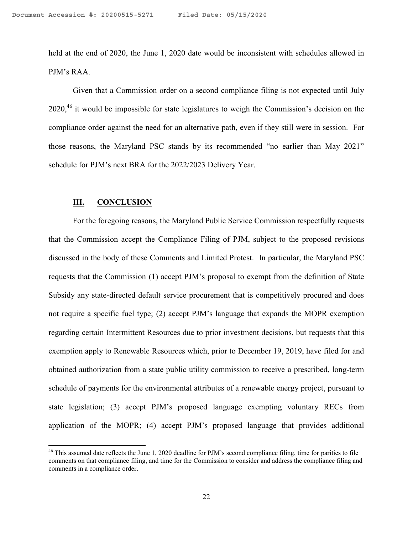held at the end of 2020, the June 1, 2020 date would be inconsistent with schedules allowed in PJM's RAA.

Given that a Commission order on a second compliance filing is not expected until July 2020,<sup>46</sup> it would be impossible for state legislatures to weigh the Commission's decision on the compliance order against the need for an alternative path, even if they still were in session. For those reasons, the Maryland PSC stands by its recommended "no earlier than May 2021" schedule for PJM's next BRA for the 2022/2023 Delivery Year.

## **III. CONCLUSION**

 $\overline{\phantom{a}}$ 

For the foregoing reasons, the Maryland Public Service Commission respectfully requests that the Commission accept the Compliance Filing of PJM, subject to the proposed revisions discussed in the body of these Comments and Limited Protest. In particular, the Maryland PSC requests that the Commission (1) accept PJM's proposal to exempt from the definition of State Subsidy any state-directed default service procurement that is competitively procured and does not require a specific fuel type; (2) accept PJM's language that expands the MOPR exemption regarding certain Intermittent Resources due to prior investment decisions, but requests that this exemption apply to Renewable Resources which, prior to December 19, 2019, have filed for and obtained authorization from a state public utility commission to receive a prescribed, long-term schedule of payments for the environmental attributes of a renewable energy project, pursuant to state legislation; (3) accept PJM's proposed language exempting voluntary RECs from application of the MOPR; (4) accept PJM's proposed language that provides additional

 $46$  This assumed date reflects the June 1, 2020 deadline for PJM's second compliance filing, time for parities to file comments on that compliance filing, and time for the Commission to consider and address the compliance filing and comments in a compliance order.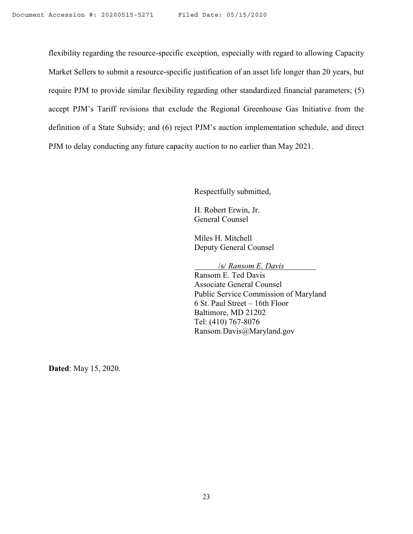flexibility regarding the resource-specific exception, especially with regard to allowing Capacity Market Sellers to submit a resource-specific justification of an asset life longer than 20 years, but require PJM to provide similar flexibility regarding other standardized financial parameters; (5) accept PJM's Tariff revisions that exclude the Regional Greenhouse Gas Initiative from the definition of a State Subsidy; and (6) reject PJM's auction implementation schedule, and direct PJM to delay conducting any future capacity auction to no earlier than May 2021.

Respectfully submitted,

H. Robert Erwin, Jr. General Counsel

Miles H. Mitchell Deputy General Counsel

/s/ *Ransom E. Davis*

Ransom E. Ted Davis Associate General Counsel Public Service Commission of Maryland 6 St. Paul Street – 16th Floor Baltimore, MD 21202 Tel: (410) 767-8076 Ransom.Davis@Maryland.gov

**Dated**: May 15, 2020.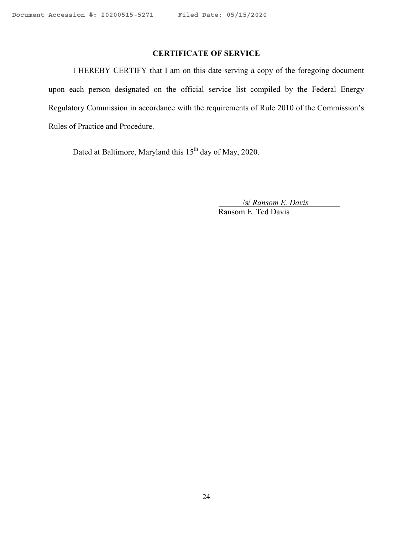# **CERTIFICATE OF SERVICE**

I HEREBY CERTIFY that I am on this date serving a copy of the foregoing document upon each person designated on the official service list compiled by the Federal Energy Regulatory Commission in accordance with the requirements of Rule 2010 of the Commission's Rules of Practice and Procedure.

Dated at Baltimore, Maryland this 15<sup>th</sup> day of May, 2020.

/s/ *Ransom E. Davis* Ransom E. Ted Davis